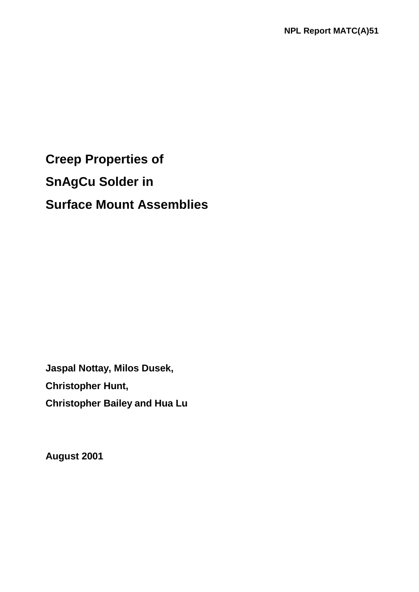**Creep Properties of SnAgCu Solder in Surface Mount Assemblies**

**Jaspal Nottay, Milos Dusek, Christopher Hunt, Christopher Bailey and Hua Lu** 

**August 2001**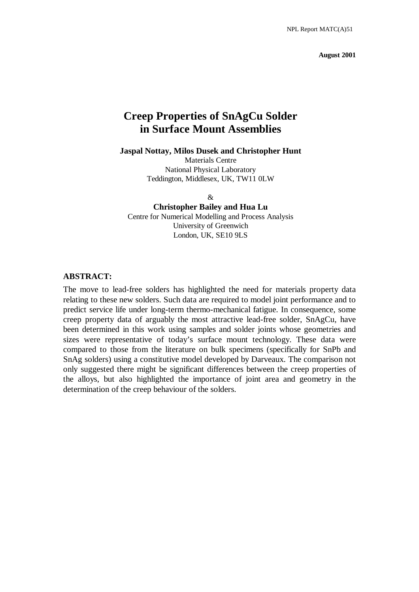**August 2001** 

# **Creep Properties of SnAgCu Solder in Surface Mount Assemblies**

#### **Jaspal Nottay, Milos Dusek and Christopher Hunt**

Materials Centre National Physical Laboratory Teddington, Middlesex, UK, TW11 0LW

 $\&$ 

#### **Christopher Bailey and Hua Lu**

Centre for Numerical Modelling and Process Analysis University of Greenwich London, UK, SE10 9LS

#### **ABSTRACT:**

The move to lead-free solders has highlighted the need for materials property data relating to these new solders. Such data are required to model joint performance and to predict service life under long-term thermo-mechanical fatigue. In consequence, some creep property data of arguably the most attractive lead-free solder, SnAgCu, have been determined in this work using samples and solder joints whose geometries and sizes were representative of today's surface mount technology. These data were compared to those from the literature on bulk specimens (specifically for SnPb and SnAg solders) using a constitutive model developed by Darveaux. The comparison not only suggested there might be significant differences between the creep properties of the alloys, but also highlighted the importance of joint area and geometry in the determination of the creep behaviour of the solders.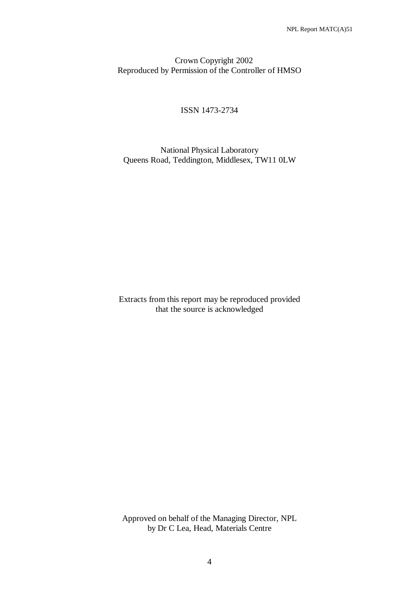### Crown Copyright 2002 Reproduced by Permission of the Controller of HMSO

### ISSN 1473-2734

### National Physical Laboratory Queens Road, Teddington, Middlesex, TW11 0LW

Extracts from this report may be reproduced provided that the source is acknowledged

Approved on behalf of the Managing Director, NPL by Dr C Lea, Head, Materials Centre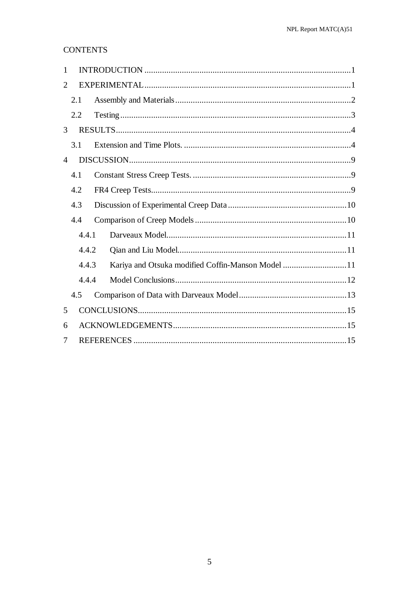## **CONTENTS**

| $\mathbf{1}$             |       |                                                   |  |
|--------------------------|-------|---------------------------------------------------|--|
| 2                        |       |                                                   |  |
|                          | 2.1   |                                                   |  |
|                          | 2.2   |                                                   |  |
| 3                        |       |                                                   |  |
|                          | 3.1   |                                                   |  |
| 4                        |       |                                                   |  |
|                          | 4.1   |                                                   |  |
|                          | 4.2   |                                                   |  |
|                          | 4.3   |                                                   |  |
|                          | 4.4   |                                                   |  |
|                          | 4.4.1 |                                                   |  |
|                          | 4.4.2 |                                                   |  |
|                          | 4.4.3 | Kariya and Otsuka modified Coffin-Manson Model 11 |  |
|                          | 4.4.4 |                                                   |  |
|                          | 4.5   |                                                   |  |
| 5                        |       |                                                   |  |
| 6                        |       |                                                   |  |
| $\overline{\mathcal{L}}$ |       |                                                   |  |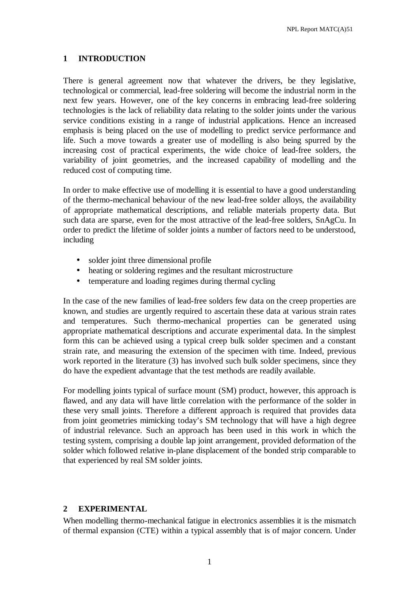### **1 INTRODUCTION**

There is general agreement now that whatever the drivers, be they legislative, technological or commercial, lead-free soldering will become the industrial norm in the next few years. However, one of the key concerns in embracing lead-free soldering technologies is the lack of reliability data relating to the solder joints under the various service conditions existing in a range of industrial applications. Hence an increased emphasis is being placed on the use of modelling to predict service performance and life. Such a move towards a greater use of modelling is also being spurred by the increasing cost of practical experiments, the wide choice of lead-free solders, the variability of joint geometries, and the increased capability of modelling and the reduced cost of computing time.

In order to make effective use of modelling it is essential to have a good understanding of the thermo-mechanical behaviour of the new lead-free solder alloys, the availability of appropriate mathematical descriptions, and reliable materials property data. But such data are sparse, even for the most attractive of the lead-free solders, SnAgCu. In order to predict the lifetime of solder joints a number of factors need to be understood, including

- solder joint three dimensional profile
- heating or soldering regimes and the resultant microstructure
- temperature and loading regimes during thermal cycling

In the case of the new families of lead-free solders few data on the creep properties are known, and studies are urgently required to ascertain these data at various strain rates and temperatures. Such thermo-mechanical properties can be generated using appropriate mathematical descriptions and accurate experimental data. In the simplest form this can be achieved using a typical creep bulk solder specimen and a constant strain rate, and measuring the extension of the specimen with time. Indeed, previous work reported in the literature (3) has involved such bulk solder specimens, since they do have the expedient advantage that the test methods are readily available.

For modelling joints typical of surface mount (SM) product, however, this approach is flawed, and any data will have little correlation with the performance of the solder in these very small joints. Therefore a different approach is required that provides data from joint geometries mimicking today's SM technology that will have a high degree of industrial relevance. Such an approach has been used in this work in which the testing system, comprising a double lap joint arrangement, provided deformation of the solder which followed relative in-plane displacement of the bonded strip comparable to that experienced by real SM solder joints.

### **2 EXPERIMENTAL**

When modelling thermo-mechanical fatigue in electronics assemblies it is the mismatch of thermal expansion (CTE) within a typical assembly that is of major concern. Under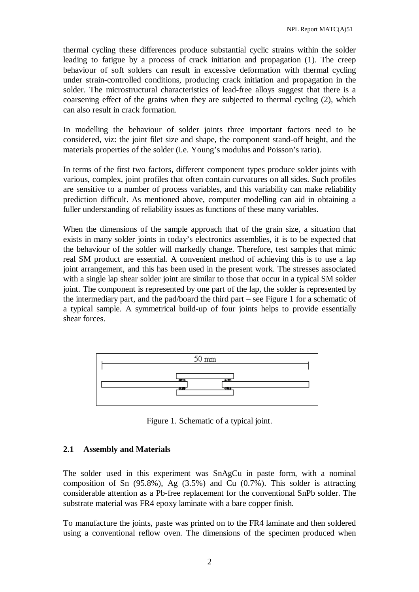thermal cycling these differences produce substantial cyclic strains within the solder leading to fatigue by a process of crack initiation and propagation (1). The creep behaviour of soft solders can result in excessive deformation with thermal cycling under strain-controlled conditions, producing crack initiation and propagation in the solder. The microstructural characteristics of lead-free alloys suggest that there is a coarsening effect of the grains when they are subjected to thermal cycling (2), which can also result in crack formation.

In modelling the behaviour of solder joints three important factors need to be considered, viz: the joint filet size and shape, the component stand-off height, and the materials properties of the solder (i.e. Young's modulus and Poisson's ratio).

In terms of the first two factors, different component types produce solder joints with various, complex, joint profiles that often contain curvatures on all sides. Such profiles are sensitive to a number of process variables, and this variability can make reliability prediction difficult. As mentioned above, computer modelling can aid in obtaining a fuller understanding of reliability issues as functions of these many variables.

When the dimensions of the sample approach that of the grain size, a situation that exists in many solder joints in today's electronics assemblies, it is to be expected that the behaviour of the solder will markedly change. Therefore, test samples that mimic real SM product are essential. A convenient method of achieving this is to use a lap joint arrangement, and this has been used in the present work. The stresses associated with a single lap shear solder joint are similar to those that occur in a typical SM solder joint. The component is represented by one part of the lap, the solder is represented by the intermediary part, and the pad/board the third part – see Figure 1 for a schematic of a typical sample. A symmetrical build-up of four joints helps to provide essentially shear forces.



Figure 1. Schematic of a typical joint.

### **2.1 Assembly and Materials**

The solder used in this experiment was SnAgCu in paste form, with a nominal composition of Sn  $(95.8\%)$ , Ag  $(3.5\%)$  and Cu  $(0.7\%)$ . This solder is attracting considerable attention as a Pb-free replacement for the conventional SnPb solder. The substrate material was FR4 epoxy laminate with a bare copper finish.

To manufacture the joints, paste was printed on to the FR4 laminate and then soldered using a conventional reflow oven. The dimensions of the specimen produced when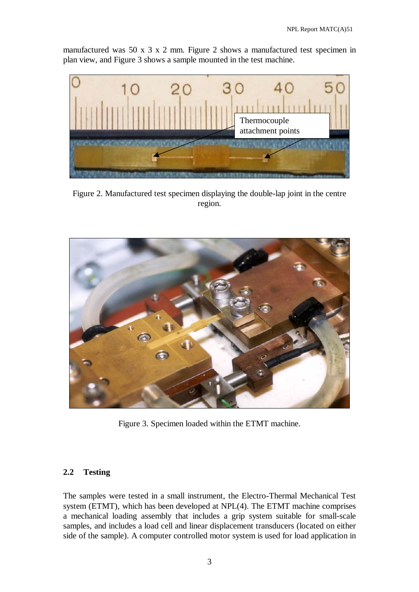manufactured was 50 x 3 x 2 mm. Figure 2 shows a manufactured test specimen in plan view, and Figure 3 shows a sample mounted in the test machine.



Figure 2. Manufactured test specimen displaying the double-lap joint in the centre region.



Figure 3. Specimen loaded within the ETMT machine.

### **2.2 Testing**

The samples were tested in a small instrument, the Electro-Thermal Mechanical Test system (ETMT), which has been developed at NPL(4). The ETMT machine comprises a mechanical loading assembly that includes a grip system suitable for small-scale samples, and includes a load cell and linear displacement transducers (located on either side of the sample). A computer controlled motor system is used for load application in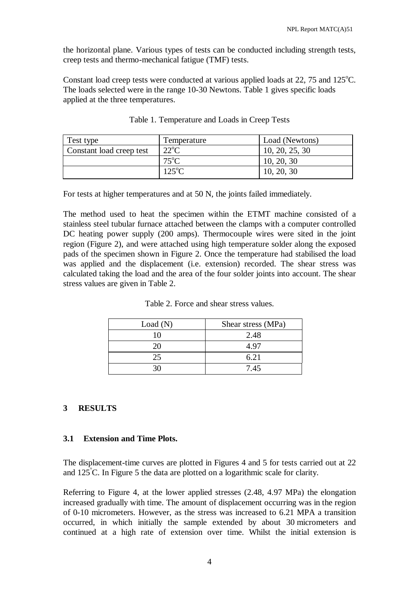the horizontal plane. Various types of tests can be conducted including strength tests, creep tests and thermo-mechanical fatigue (TMF) tests.

Constant load creep tests were conducted at various applied loads at  $22$ , 75 and  $125^{\circ}$ C. The loads selected were in the range 10-30 Newtons. Table 1 gives specific loads applied at the three temperatures.

| Test type                | Temperature     | Load (Newtons) |
|--------------------------|-----------------|----------------|
| Constant load creep test | $22^{\circ}C$   | 10, 20, 25, 30 |
|                          | $75^{\circ}$ C  | 10, 20, 30     |
|                          | $125^{\circ}$ C | 10, 20, 30     |

| Table 1. Temperature and Loads in Creep Tests |
|-----------------------------------------------|
|-----------------------------------------------|

For tests at higher temperatures and at 50 N, the joints failed immediately.

The method used to heat the specimen within the ETMT machine consisted of a stainless steel tubular furnace attached between the clamps with a computer controlled DC heating power supply (200 amps). Thermocouple wires were sited in the joint region (Figure 2), and were attached using high temperature solder along the exposed pads of the specimen shown in Figure 2. Once the temperature had stabilised the load was applied and the displacement (i.e. extension) recorded. The shear stress was calculated taking the load and the area of the four solder joints into account. The shear stress values are given in Table 2.

| Load(N) | Shear stress (MPa) |
|---------|--------------------|
| 10      | 2.48               |
| 20      | 4.97               |
| 25      | 6.21               |
|         | 7.45               |

| Table 2. Force and shear stress values. |
|-----------------------------------------|
|                                         |

### **3 RESULTS**

### **3.1 Extension and Time Plots.**

The displacement-time curves are plotted in Figures 4 and 5 for tests carried out at 22 and 125° C. In Figure 5 the data are plotted on a logarithmic scale for clarity.

Referring to Figure 4, at the lower applied stresses (2.48, 4.97 MPa) the elongation increased gradually with time. The amount of displacement occurring was in the region of 0-10 micrometers. However, as the stress was increased to 6.21 MPA a transition occurred, in which initially the sample extended by about 30 micrometers and continued at a high rate of extension over time. Whilst the initial extension is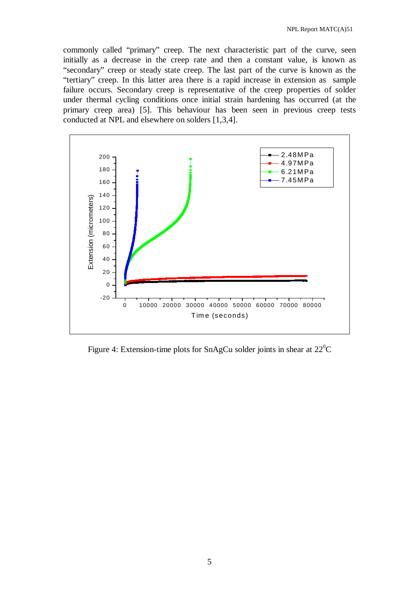commonly called "primary" creep. The next characteristic part of the curve, seen initially as a decrease in the creep rate and then a constant value, is known as "secondary" creep or steady state creep. The last part of the curve is known as the "tertiary" creep. In this latter area there is a rapid increase in extension as sample failure occurs. Secondary creep is representative of the creep properties of solder under thermal cycling conditions once initial strain hardening has occurred (at the primary creep area) [5]. This behaviour has been seen in previous creep tests conducted at NPL and elsewhere on solders [1,3,4].



Figure 4: Extension-time plots for SnAgCu solder joints in shear at  $22^{\circ}$ C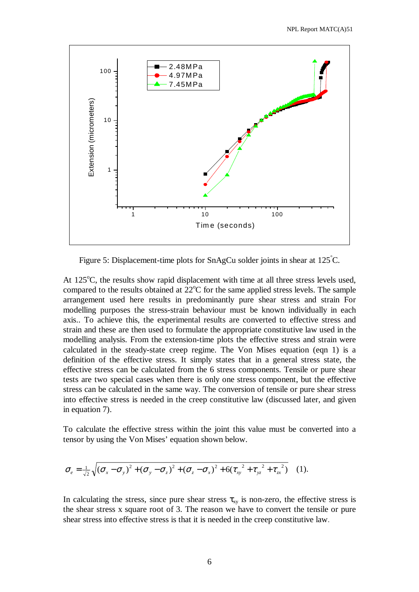

Figure 5: Displacement-time plots for SnAgCu solder joints in shear at  $125^{\circ}$ C.

At 125°C, the results show rapid displacement with time at all three stress levels used, compared to the results obtained at  $22^{\circ}$ C for the same applied stress levels. The sample arrangement used here results in predominantly pure shear stress and strain For modelling purposes the stress-strain behaviour must be known individually in each axis.. To achieve this, the experimental results are converted to effective stress and strain and these are then used to formulate the appropriate constitutive law used in the modelling analysis. From the extension-time plots the effective stress and strain were calculated in the steady-state creep regime. The Von Mises equation (eqn 1) is a definition of the effective stress. It simply states that in a general stress state, the effective stress can be calculated from the 6 stress components. Tensile or pure shear tests are two special cases when there is only one stress component, but the effective stress can be calculated in the same way. The conversion of tensile or pure shear stress into effective stress is needed in the creep constitutive law (discussed later, and given in equation 7).

To calculate the effective stress within the joint this value must be converted into a tensor by using the Von Mises' equation shown below.

$$
\sigma_e = \frac{1}{\sqrt{2}}\sqrt{(\sigma_x - \sigma_y)^2 + (\sigma_y - \sigma_z)^2 + (\sigma_z - \sigma_x)^2 + 6(\tau_{xy}^2 + \tau_{yz}^2 + \tau_{zx}^2)}
$$
 (1).

In calculating the stress, since pure shear stress  $\tau_{xy}$  is non-zero, the effective stress is the shear stress x square root of 3. The reason we have to convert the tensile or pure shear stress into effective stress is that it is needed in the creep constitutive law.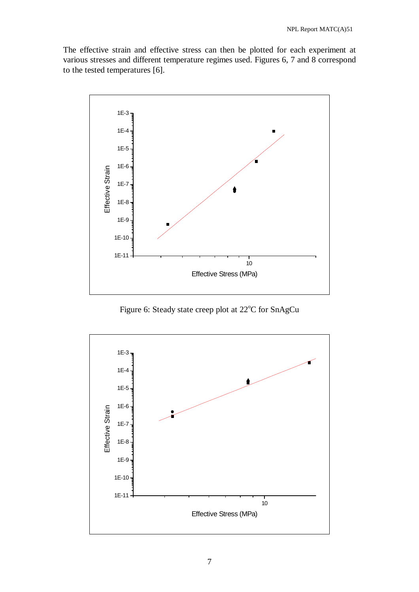The effective strain and effective stress can then be plotted for each experiment at various stresses and different temperature regimes used. Figures 6, 7 and 8 correspond to the tested temperatures [6].



Figure 6: Steady state creep plot at 22°C for SnAgCu

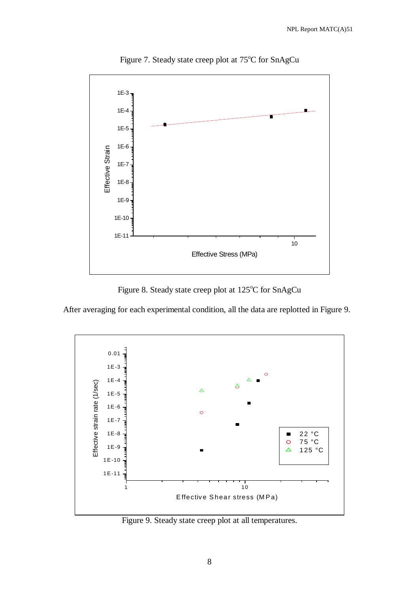

Figure 7. Steady state creep plot at 75°C for SnAgCu

Figure 8. Steady state creep plot at 125°C for SnAgCu

After averaging for each experimental condition, all the data are replotted in Figure 9.



Figure 9. Steady state creep plot at all temperatures.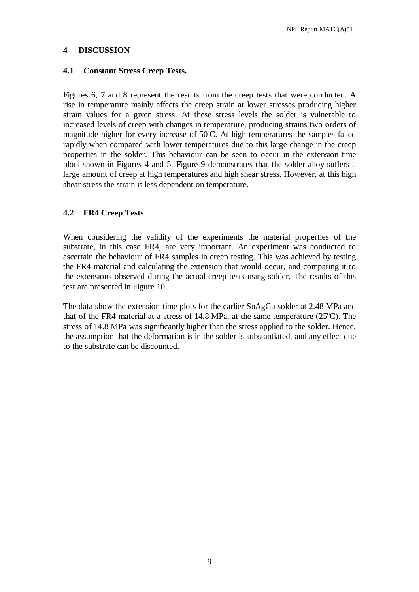### **4 DISCUSSION**

### **4.1 Constant Stress Creep Tests.**

Figures 6, 7 and 8 represent the results from the creep tests that were conducted. A rise in temperature mainly affects the creep strain at lower stresses producing higher strain values for a given stress. At these stress levels the solder is vulnerable to increased levels of creep with changes in temperature, producing strains two orders of magnitude higher for every increase of  $50^{\circ}$ C. At high temperatures the samples failed rapidly when compared with lower temperatures due to this large change in the creep properties in the solder. This behaviour can be seen to occur in the extension-time plots shown in Figures 4 and 5. Figure 9 demonstrates that the solder alloy suffers a large amount of creep at high temperatures and high shear stress. However, at this high shear stress the strain is less dependent on temperature.

### **4.2 FR4 Creep Tests**

When considering the validity of the experiments the material properties of the substrate, in this case FR4, are very important. An experiment was conducted to ascertain the behaviour of FR4 samples in creep testing. This was achieved by testing the FR4 material and calculating the extension that would occur, and comparing it to the extensions observed during the actual creep tests using solder. The results of this test are presented in Figure 10.

The data show the extension-time plots for the earlier SnAgCu solder at 2.48 MPa and that of the FR4 material at a stress of  $14.8$  MPa, at the same temperature ( $25^{\circ}$ C). The stress of 14.8 MPa was significantly higher than the stress applied to the solder. Hence, the assumption that the deformation is in the solder is substantiated, and any effect due to the substrate can be discounted.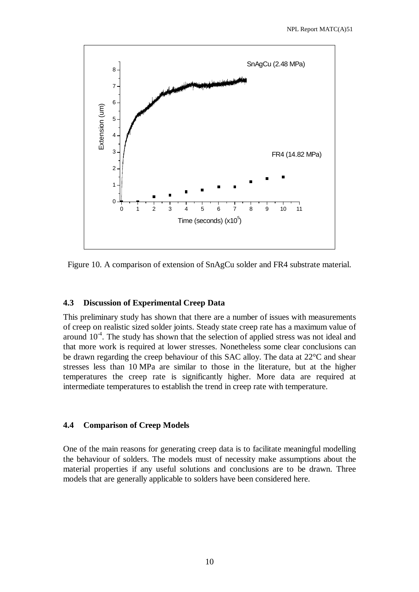

Figure 10. A comparison of extension of SnAgCu solder and FR4 substrate material.

### **4.3 Discussion of Experimental Creep Data**

This preliminary study has shown that there are a number of issues with measurements of creep on realistic sized solder joints. Steady state creep rate has a maximum value of around  $10^{-4}$ . The study has shown that the selection of applied stress was not ideal and that more work is required at lower stresses. Nonetheless some clear conclusions can be drawn regarding the creep behaviour of this SAC alloy. The data at 22°C and shear stresses less than 10 MPa are similar to those in the literature, but at the higher temperatures the creep rate is significantly higher. More data are required at intermediate temperatures to establish the trend in creep rate with temperature.

#### **4.4 Comparison of Creep Models**

One of the main reasons for generating creep data is to facilitate meaningful modelling the behaviour of solders. The models must of necessity make assumptions about the material properties if any useful solutions and conclusions are to be drawn. Three models that are generally applicable to solders have been considered here.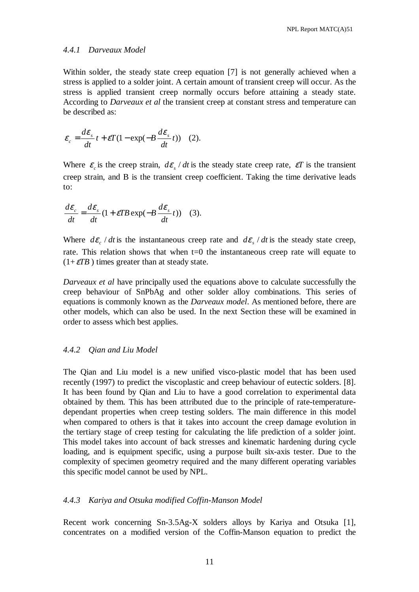#### *4.4.1 Darveaux Model*

Within solder, the steady state creep equation [7] is not generally achieved when a stress is applied to a solder joint. A certain amount of transient creep will occur. As the stress is applied transient creep normally occurs before attaining a steady state. According to *Darveaux et al* the transient creep at constant stress and temperature can be described as:

$$
\varepsilon_c = \frac{d\varepsilon_s}{dt} t + \varepsilon T (1 - \exp(-B \frac{d\varepsilon_s}{dt} t))
$$
 (2).

Where  $\varepsilon_c$  is the creep strain,  $d\varepsilon_s / dt$  is the steady state creep rate,  $\varepsilon T$  is the transient creep strain, and B is the transient creep coefficient. Taking the time derivative leads to:

$$
\frac{d\varepsilon_c}{dt} = \frac{d\varepsilon_s}{dt} (1 + \varepsilon T B \exp(-B \frac{d\varepsilon_s}{dt} t))
$$
 (3).

Where  $d\mathcal{E}_{c}$  / dt is the instantaneous creep rate and  $d\mathcal{E}_{s}$  / dt is the steady state creep, rate. This relation shows that when t=0 the instantaneous creep rate will equate to  $(1+\varepsilon TB)$  times greater than at steady state.

*Darveaux et al* have principally used the equations above to calculate successfully the creep behaviour of SnPbAg and other solder alloy combinations. This series of equations is commonly known as the *Darveaux model*. As mentioned before, there are other models, which can also be used. In the next Section these will be examined in order to assess which best applies.

#### *4.4.2 Qian and Liu Model*

The Qian and Liu model is a new unified visco-plastic model that has been used recently (1997) to predict the viscoplastic and creep behaviour of eutectic solders. [8]. It has been found by Qian and Liu to have a good correlation to experimental data obtained by them. This has been attributed due to the principle of rate-temperaturedependant properties when creep testing solders. The main difference in this model when compared to others is that it takes into account the creep damage evolution in the tertiary stage of creep testing for calculating the life prediction of a solder joint. This model takes into account of back stresses and kinematic hardening during cycle loading, and is equipment specific, using a purpose built six-axis tester. Due to the complexity of specimen geometry required and the many different operating variables this specific model cannot be used by NPL.

#### *4.4.3 Kariya and Otsuka modified Coffin-Manson Model*

Recent work concerning Sn-3.5Ag-X solders alloys by Kariya and Otsuka [1], concentrates on a modified version of the Coffin-Manson equation to predict the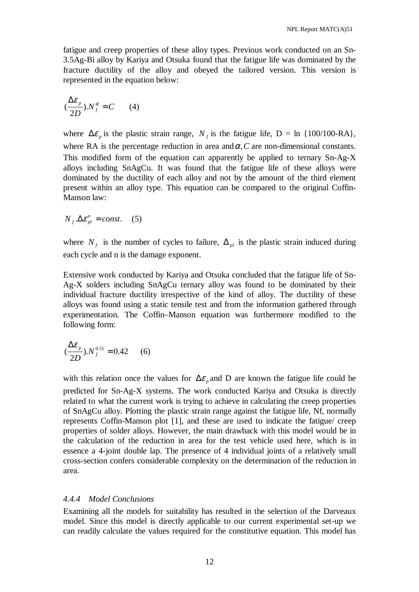fatigue and creep properties of these alloy types. Previous work conducted on an Sn-3.5Ag-Bi alloy by Kariya and Otsuka found that the fatigue life was dominated by the fracture ductility of the alloy and obeyed the tailored version. This version is represented in the equation below:

$$
(\frac{\Delta \varepsilon_{p}}{2D}).N_{f}^{\alpha}=C \qquad (4)
$$

where  $\Delta \varepsilon$ <sub>n</sub> is the plastic strain range,  $N_f$  is the fatigue life, D = ln {100/100-RA}, where RA is the percentage reduction in area and  $\alpha$ , C are non-dimensional constants. This modified form of the equation can apparently be applied to ternary Sn-Ag-X alloys including SnAgCu. It was found that the fatigue life of these alloys were dominated by the ductility of each alloy and not by the amount of the third element present within an alloy type. This equation can be compared to the original Coffin-Manson law:

$$
N_f \Delta \varepsilon_{pl}^n = const.
$$
 (5)

where  $N_f$  is the number of cycles to failure,  $\Delta_{pl}$  is the plastic strain induced during each cycle and n is the damage exponent.

Extensive work conducted by Kariya and Otsuka concluded that the fatigue life of Sn-Ag-X solders including SnAgCu ternary alloy was found to be dominated by their individual fracture ductility irrespective of the kind of alloy. The ductility of these alloys was found using a static tensile test and from the information gathered through experimentation. The Coffin–Manson equation was furthermore modified to the following form:

$$
(\frac{\Delta \varepsilon_p}{2D}).N_f^{0.51} = 0.42 \qquad (6)
$$

with this relation once the values for  $\Delta \varepsilon$  and D are known the fatigue life could be predicted for Sn-Ag-X systems. The work conducted Kariya and Otsuka is directly related to what the current work is trying to achieve in calculating the creep properties of SnAgCu alloy. Plotting the plastic strain range against the fatigue life, Nf, normally represents Coffin-Manson plot [1], and these are used to indicate the fatigue/ creep properties of solder alloys. However, the main drawback with this model would be in the calculation of the reduction in area for the test vehicle used here, which is in essence a 4-joint double lap. The presence of 4 individual joints of a relatively small cross-section confers considerable complexity on the determination of the reduction in area.

### *4.4.4 Model Conclusions*

Examining all the models for suitability has resulted in the selection of the Darveaux model. Since this model is directly applicable to our current experimental set-up we can readily calculate the values required for the constitutive equation. This model has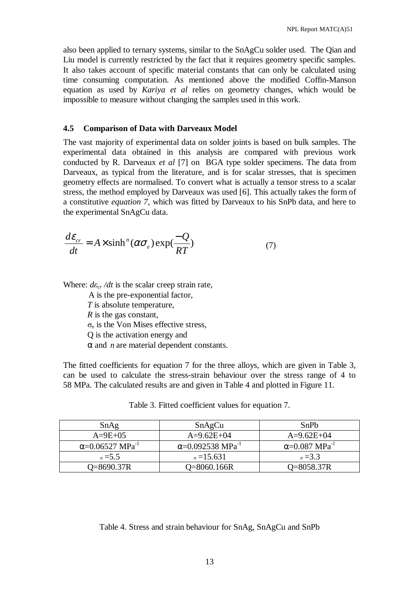also been applied to ternary systems, similar to the SnAgCu solder used. The Qian and Liu model is currently restricted by the fact that it requires geometry specific samples. It also takes account of specific material constants that can only be calculated using time consuming computation. As mentioned above the modified Coffin-Manson equation as used by *Kariya et al* relies on geometry changes, which would be impossible to measure without changing the samples used in this work.

#### **4.5 Comparison of Data with Darveaux Model**

The vast majority of experimental data on solder joints is based on bulk samples. The experimental data obtained in this analysis are compared with previous work conducted by R. Darveaux *et al* [7] on BGA type solder specimens. The data from Darveaux, as typical from the literature, and is for scalar stresses, that is specimen geometry effects are normalised. To convert what is actually a tensor stress to a scalar stress, the method employed by Darveaux was used [6]. This actually takes the form of a constitutive *equation 7*, which was fitted by Darveaux to his SnPb data, and here to the experimental SnAgCu data.

$$
\frac{d\varepsilon_{cr}}{dt} = A \times \sinh^{n}(\alpha \sigma_e) \exp(\frac{-Q}{RT})
$$
\n(7)

Where:  $d\varepsilon_{cr}/dt$  is the scalar creep strain rate,

A is the pre-exponential factor,

 *T* is absolute temperature,

*R* is the gas constant,

 $\sigma_e$  is the Von Mises effective stress,

Q is the activation energy and

 $\alpha$  and *n* are material dependent constants.

The fitted coefficients for equation 7 for the three alloys, which are given in Table 3, can be used to calculate the stress-strain behaviour over the stress range of 4 to 58 MPa. The calculated results are and given in Table 4 and plotted in Figure 11.

| SnAg                                | SnAgCu                               | SnPh                              |
|-------------------------------------|--------------------------------------|-----------------------------------|
| $A=9E+05$                           | $A=9.62E+04$                         | $A=9.62E+04$                      |
| $\alpha$ =0.06527 MPa <sup>-1</sup> | $\alpha$ =0.092538 MPa <sup>-1</sup> | $\alpha$ =0.087 MPa <sup>-1</sup> |
| $n = 5.5$                           | $n = 15.631$                         | $n = 3.3$                         |
| O=8690.37R                          | O=8060.166R                          | O=8058.37R                        |

Table 3. Fitted coefficient values for equation 7.

### Table 4. Stress and strain behaviour for SnAg, SnAgCu and SnPb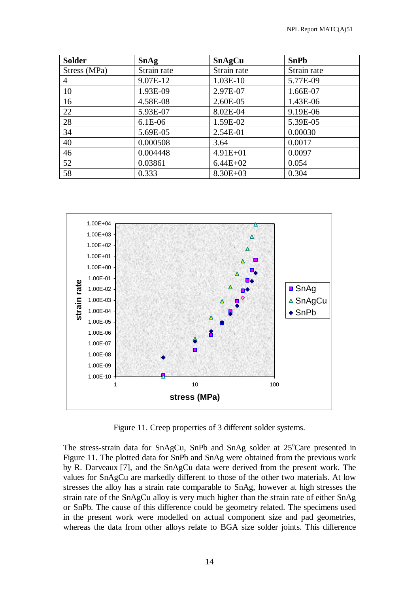| <b>Solder</b> | <b>SnAg</b> | <b>SnAgCu</b> | <b>SnPb</b> |
|---------------|-------------|---------------|-------------|
| Stress (MPa)  | Strain rate | Strain rate   | Strain rate |
| 4             | 9.07E-12    | 1.03E-10      | 5.77E-09    |
| 10            | 1.93E-09    | 2.97E-07      | 1.66E-07    |
| 16            | 4.58E-08    | 2.60E-05      | 1.43E-06    |
| 22            | 5.93E-07    | 8.02E-04      | 9.19E-06    |
| 28            | $6.1E-06$   | 1.59E-02      | 5.39E-05    |
| 34            | 5.69E-05    | 2.54E-01      | 0.00030     |
| 40            | 0.000508    | 3.64          | 0.0017      |
| 46            | 0.004448    | $4.91E + 01$  | 0.0097      |
| 52            | 0.03861     | $6.44E+02$    | 0.054       |
| 58            | 0.333       | $8.30E + 03$  | 0.304       |



Figure 11. Creep properties of 3 different solder systems.

The stress-strain data for SnAgCu, SnPb and SnAg solder at 25°Care presented in Figure 11. The plotted data for SnPb and SnAg were obtained from the previous work by R. Darveaux [7], and the SnAgCu data were derived from the present work. The values for SnAgCu are markedly different to those of the other two materials. At low stresses the alloy has a strain rate comparable to SnAg, however at high stresses the strain rate of the SnAgCu alloy is very much higher than the strain rate of either SnAg or SnPb. The cause of this difference could be geometry related. The specimens used in the present work were modelled on actual component size and pad geometries, whereas the data from other alloys relate to BGA size solder joints. This difference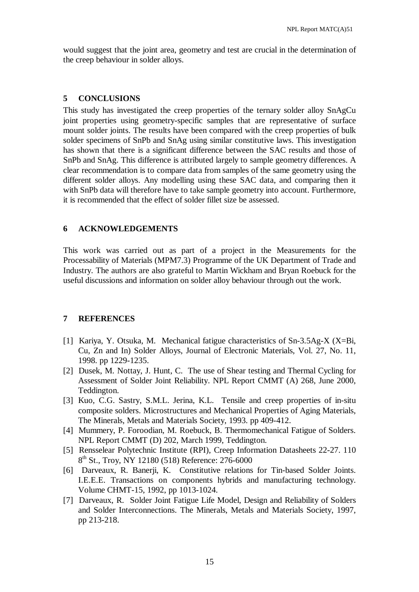would suggest that the joint area, geometry and test are crucial in the determination of the creep behaviour in solder alloys.

#### **5 CONCLUSIONS**

This study has investigated the creep properties of the ternary solder alloy SnAgCu joint properties using geometry-specific samples that are representative of surface mount solder joints. The results have been compared with the creep properties of bulk solder specimens of SnPb and SnAg using similar constitutive laws. This investigation has shown that there is a significant difference between the SAC results and those of SnPb and SnAg. This difference is attributed largely to sample geometry differences. A clear recommendation is to compare data from samples of the same geometry using the different solder alloys. Any modelling using these SAC data, and comparing then it with SnPb data will therefore have to take sample geometry into account. Furthermore, it is recommended that the effect of solder fillet size be assessed.

#### **6 ACKNOWLEDGEMENTS**

This work was carried out as part of a project in the Measurements for the Processability of Materials (MPM7.3) Programme of the UK Department of Trade and Industry. The authors are also grateful to Martin Wickham and Bryan Roebuck for the useful discussions and information on solder alloy behaviour through out the work.

### **7 REFERENCES**

- [1] Kariya, Y. Otsuka, M. Mechanical fatigue characteristics of Sn-3.5Ag-X (X=Bi, Cu, Zn and In) Solder Alloys, Journal of Electronic Materials, Vol. 27, No. 11, 1998. pp 1229-1235.
- [2] Dusek, M. Nottay, J. Hunt, C. The use of Shear testing and Thermal Cycling for Assessment of Solder Joint Reliability. NPL Report CMMT (A) 268, June 2000, Teddington.
- [3] Kuo, C.G. Sastry, S.M.L. Jerina, K.L. Tensile and creep properties of in-situ composite solders. Microstructures and Mechanical Properties of Aging Materials, The Minerals, Metals and Materials Society, 1993. pp 409-412.
- [4] Mummery, P. Foroodian, M. Roebuck, B. Thermomechanical Fatigue of Solders. NPL Report CMMT (D) 202, March 1999, Teddington.
- [5] Rensselear Polytechnic Institute (RPI), Creep Information Datasheets 22-27. 110 8<sup>th</sup> St., Troy, NY 12180 (518) Reference: 276-6000
- [6] Darveaux, R. Banerji, K. Constitutive relations for Tin-based Solder Joints. I.E.E.E. Transactions on components hybrids and manufacturing technology. Volume CHMT-15, 1992, pp 1013-1024.
- [7] Darveaux, R. Solder Joint Fatigue Life Model, Design and Reliability of Solders and Solder Interconnections. The Minerals, Metals and Materials Society, 1997, pp 213-218.